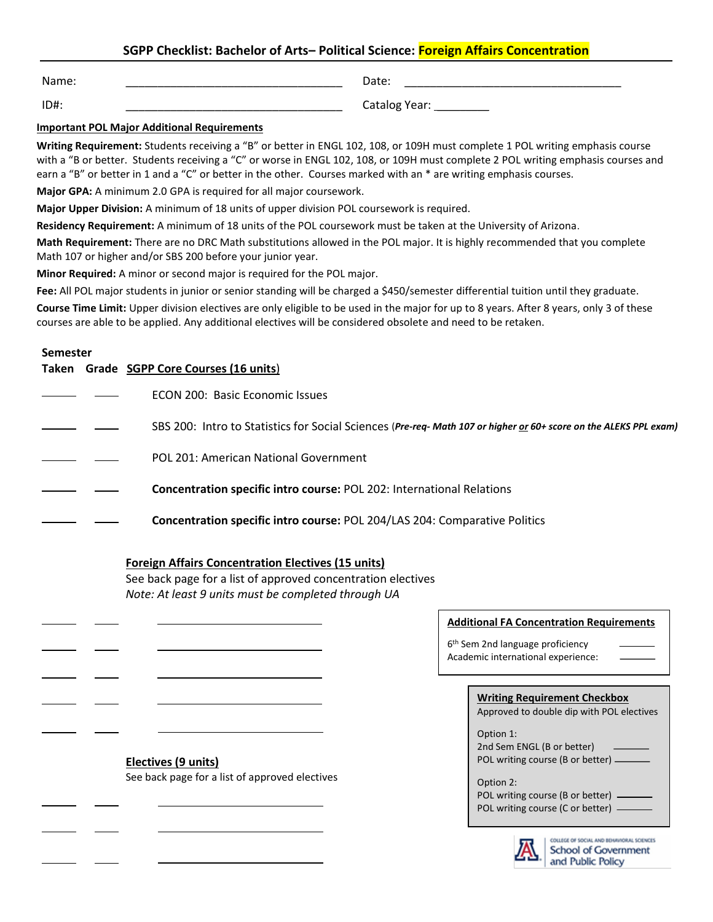# **SGPP Checklist: Bachelor of Arts– Political Science: Foreign Affairs Concentration**

Name: \_\_\_\_\_\_\_\_\_\_\_\_\_\_\_\_\_\_\_\_\_\_\_\_\_\_\_\_\_\_\_\_\_\_

Date: \_\_\_\_\_\_\_\_\_\_\_\_\_\_\_\_\_\_\_\_\_\_\_\_\_\_\_\_\_\_\_\_\_\_

ID#: \_\_\_\_\_\_\_\_\_\_\_\_\_\_\_\_\_\_\_\_\_\_\_\_\_\_\_\_\_\_\_\_\_\_

Catalog Year: \_\_\_\_\_\_\_\_\_\_

### **Important POL Major Additional Requirements**

**Writing Requirement:** Students receiving a "B" or better in ENGL 102, 108, or 109H must complete 1 POL writing emphasis course with a "B or better. Students receiving a "C" or worse in ENGL 102, 108, or 109H must complete 2 POL writing emphasis courses and earn a "B" or better in 1 and a "C" or better in the other. Courses marked with an \* are writing emphasis courses.

**Major GPA:** A minimum 2.0 GPA is required for all major coursework.

**Major Upper Division:** A minimum of 18 units of upper division POL coursework is required.

**Residency Requirement:** A minimum of 18 units of the POL coursework must be taken at the University of Arizona.

**Math Requirement:** There are no DRC Math substitutions allowed in the POL major. It is highly recommended that you complete Math 107 or higher and/or SBS 200 before your junior year.

**Minor Required:** A minor or second major is required for the POL major.

Fee: All POL major students in junior or senior standing will be charged a \$450/semester differential tuition until they graduate.

**Course Time Limit:** Upper division electives are only eligible to be used in the major for up to 8 years. After 8 years, only 3 of these courses are able to be applied. Any additional electives will be considered obsolete and need to be retaken.

### **Semester**

L

֦

 $\overline{a}$ 

 $\overline{a}$ 

 $\overline{a}$ 

 $\overline{a}$ 

|  | Taken Grade SGPP Core Courses (16 units)                                                                          |
|--|-------------------------------------------------------------------------------------------------------------------|
|  | ECON 200: Basic Economic Issues                                                                                   |
|  | SBS 200: Intro to Statistics for Social Sciences (Pre-req- Math 107 or higher or 60+ score on the ALEKS PPL exam) |
|  | POL 201: American National Government                                                                             |
|  | <b>Concentration specific intro course: POL 202: International Relations</b>                                      |
|  | <b>Concentration specific intro course: POL 204/LAS 204: Comparative Politics</b>                                 |

## **Foreign Affairs Concentration Electives (15 units)**

See back page for a list of approved concentration electives *Note: At least 9 units must be completed through UA*

**Electives (9 units)**  See back page for a list of approved electives

### **Additional FA Concentration Requirements**

6 th Sem 2nd language proficiency Academic international experience:

|  | <b>Writing Requirement Checkbox</b> |
|--|-------------------------------------|
|  |                                     |

Approved to double dip with POL electives

Option 1: 2nd Sem ENGL (B or better) POL writing course (B or better)  $-$ 

Option 2: POL writing course (B or better) POL writing course (C or better) -